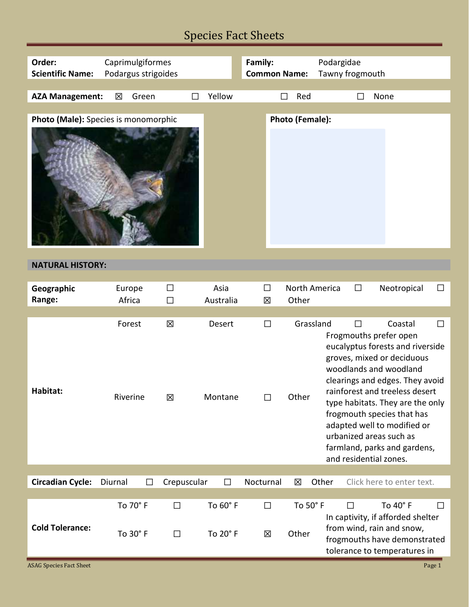# Species Fact Sheets

| Order:<br>Caprimulgiformes           |         |                      | Family:          |                      | Podargidae          |        |                    |               |                 |                                                                                                                                                                                                                                                                                                                                                                                          |        |
|--------------------------------------|---------|----------------------|------------------|----------------------|---------------------|--------|--------------------|---------------|-----------------|------------------------------------------------------------------------------------------------------------------------------------------------------------------------------------------------------------------------------------------------------------------------------------------------------------------------------------------------------------------------------------------|--------|
| <b>Scientific Name:</b>              |         | Podargus strigoides  |                  |                      | <b>Common Name:</b> |        |                    |               | Tawny frogmouth |                                                                                                                                                                                                                                                                                                                                                                                          |        |
|                                      |         |                      |                  |                      |                     |        |                    |               |                 |                                                                                                                                                                                                                                                                                                                                                                                          |        |
| <b>AZA Management:</b>               | 区       | Green                |                  | Yellow               |                     | $\Box$ | Red                |               |                 | None                                                                                                                                                                                                                                                                                                                                                                                     |        |
|                                      |         |                      |                  |                      |                     |        |                    |               |                 |                                                                                                                                                                                                                                                                                                                                                                                          |        |
| Photo (Male): Species is monomorphic |         |                      |                  |                      |                     |        | Photo (Female):    |               |                 |                                                                                                                                                                                                                                                                                                                                                                                          |        |
|                                      |         |                      |                  |                      |                     |        |                    |               |                 |                                                                                                                                                                                                                                                                                                                                                                                          |        |
| <b>NATURAL HISTORY:</b>              |         |                      |                  |                      |                     |        |                    |               |                 |                                                                                                                                                                                                                                                                                                                                                                                          |        |
|                                      |         |                      |                  |                      |                     |        |                    |               |                 |                                                                                                                                                                                                                                                                                                                                                                                          |        |
| Geographic<br>Range:                 |         | Europe<br>Africa     | $\Box$<br>$\Box$ | Asia<br>Australia    | $\Box$<br>区         |        | Other              | North America | $\Box$          | Neotropical                                                                                                                                                                                                                                                                                                                                                                              | $\Box$ |
|                                      |         |                      |                  |                      |                     |        |                    |               |                 |                                                                                                                                                                                                                                                                                                                                                                                          |        |
| Habitat:                             |         | Forest<br>Riverine   | X<br>区           | Desert<br>Montane    | $\Box$<br>$\Box$    |        | Grassland<br>Other |               | $\Box$          | Coastal<br>Frogmouths prefer open<br>eucalyptus forests and riverside<br>groves, mixed or deciduous<br>woodlands and woodland<br>clearings and edges. They avoid<br>rainforest and treeless desert<br>type habitats. They are the only<br>frogmouth species that has<br>adapted well to modified or<br>urbanized areas such as<br>farmland, parks and gardens,<br>and residential zones. | $\Box$ |
|                                      |         |                      |                  |                      |                     |        |                    |               |                 |                                                                                                                                                                                                                                                                                                                                                                                          |        |
| <b>Circadian Cycle:</b>              | Diurnal | $\mathsf{L}$         | Crepuscular      | $\perp$              | Nocturnal           |        | 区                  | Other         |                 | Click here to enter text.                                                                                                                                                                                                                                                                                                                                                                |        |
| <b>Cold Tolerance:</b>               |         | To 70° F<br>To 30° F | $\Box$<br>$\Box$ | To 60° F<br>To 20° F | $\Box$<br>区         |        | To 50° F<br>Other  |               | $\Box$          | To 40° F<br>In captivity, if afforded shelter<br>from wind, rain and snow,<br>frogmouths have demonstrated<br>tolerance to temperatures in                                                                                                                                                                                                                                               | $\Box$ |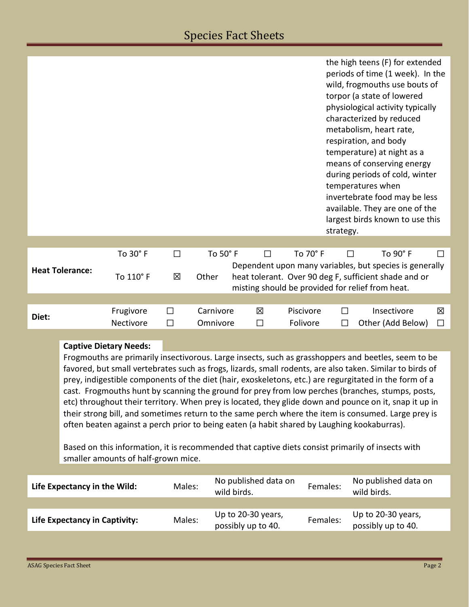|                                                                                                                                                                                                    |                                                                                                  |                                     |        |                                          |                      |           | strategy.                                                                                                 | the high teens (F) for extended<br>periods of time (1 week). In the<br>wild, frogmouths use bouts of<br>torpor (a state of lowered<br>physiological activity typically<br>characterized by reduced<br>metabolism, heart rate,<br>respiration, and body<br>temperature) at night as a<br>means of conserving energy<br>during periods of cold, winter<br>temperatures when<br>invertebrate food may be less<br>available. They are one of the<br>largest birds known to use this |        |  |
|----------------------------------------------------------------------------------------------------------------------------------------------------------------------------------------------------|--------------------------------------------------------------------------------------------------|-------------------------------------|--------|------------------------------------------|----------------------|-----------|-----------------------------------------------------------------------------------------------------------|---------------------------------------------------------------------------------------------------------------------------------------------------------------------------------------------------------------------------------------------------------------------------------------------------------------------------------------------------------------------------------------------------------------------------------------------------------------------------------|--------|--|
|                                                                                                                                                                                                    |                                                                                                  |                                     |        |                                          |                      |           |                                                                                                           |                                                                                                                                                                                                                                                                                                                                                                                                                                                                                 |        |  |
| <b>Heat Tolerance:</b>                                                                                                                                                                             |                                                                                                  | To 30° F                            | $\Box$ | To 50° F                                 | $\Box$               | To 70° F  |                                                                                                           | To 90° F<br>$\Box$                                                                                                                                                                                                                                                                                                                                                                                                                                                              | $\Box$ |  |
|                                                                                                                                                                                                    |                                                                                                  | To 110° F                           | X      | Other                                    |                      |           |                                                                                                           | Dependent upon many variables, but species is generally<br>heat tolerant. Over 90 deg F, sufficient shade and or                                                                                                                                                                                                                                                                                                                                                                |        |  |
|                                                                                                                                                                                                    |                                                                                                  |                                     |        |                                          |                      |           |                                                                                                           | misting should be provided for relief from heat.                                                                                                                                                                                                                                                                                                                                                                                                                                |        |  |
|                                                                                                                                                                                                    |                                                                                                  |                                     |        |                                          |                      |           |                                                                                                           |                                                                                                                                                                                                                                                                                                                                                                                                                                                                                 |        |  |
| Diet:                                                                                                                                                                                              |                                                                                                  | Frugivore                           | $\Box$ | Carnivore                                | 区                    | Piscivore | □                                                                                                         | Insectivore                                                                                                                                                                                                                                                                                                                                                                                                                                                                     | 区      |  |
|                                                                                                                                                                                                    |                                                                                                  | Nectivore                           | $\Box$ | Omnivore                                 | □                    | Folivore  | □                                                                                                         | Other (Add Below)                                                                                                                                                                                                                                                                                                                                                                                                                                                               | $\Box$ |  |
|                                                                                                                                                                                                    |                                                                                                  | <b>Captive Dietary Needs:</b>       |        |                                          |                      |           |                                                                                                           |                                                                                                                                                                                                                                                                                                                                                                                                                                                                                 |        |  |
| Frogmouths are primarily insectivorous. Large insects, such as grasshoppers and beetles, seem to be                                                                                                |                                                                                                  |                                     |        |                                          |                      |           |                                                                                                           |                                                                                                                                                                                                                                                                                                                                                                                                                                                                                 |        |  |
|                                                                                                                                                                                                    |                                                                                                  |                                     |        |                                          |                      |           | favored, but small vertebrates such as frogs, lizards, small rodents, are also taken. Similar to birds of |                                                                                                                                                                                                                                                                                                                                                                                                                                                                                 |        |  |
|                                                                                                                                                                                                    |                                                                                                  |                                     |        |                                          |                      |           |                                                                                                           | prey, indigestible components of the diet (hair, exoskeletons, etc.) are regurgitated in the form of a                                                                                                                                                                                                                                                                                                                                                                          |        |  |
|                                                                                                                                                                                                    | cast. Frogmouths hunt by scanning the ground for prey from low perches (branches, stumps, posts, |                                     |        |                                          |                      |           |                                                                                                           |                                                                                                                                                                                                                                                                                                                                                                                                                                                                                 |        |  |
| etc) throughout their territory. When prey is located, they glide down and pounce on it, snap it up in                                                                                             |                                                                                                  |                                     |        |                                          |                      |           |                                                                                                           |                                                                                                                                                                                                                                                                                                                                                                                                                                                                                 |        |  |
| their strong bill, and sometimes return to the same perch where the item is consumed. Large prey is<br>often beaten against a perch prior to being eaten (a habit shared by Laughing kookaburras). |                                                                                                  |                                     |        |                                          |                      |           |                                                                                                           |                                                                                                                                                                                                                                                                                                                                                                                                                                                                                 |        |  |
| Based on this information, it is recommended that captive diets consist primarily of insects with                                                                                                  |                                                                                                  |                                     |        |                                          |                      |           |                                                                                                           |                                                                                                                                                                                                                                                                                                                                                                                                                                                                                 |        |  |
|                                                                                                                                                                                                    |                                                                                                  | smaller amounts of half-grown mice. |        |                                          |                      |           |                                                                                                           |                                                                                                                                                                                                                                                                                                                                                                                                                                                                                 |        |  |
|                                                                                                                                                                                                    |                                                                                                  |                                     |        |                                          |                      |           |                                                                                                           |                                                                                                                                                                                                                                                                                                                                                                                                                                                                                 |        |  |
| Life Expectancy in the Wild:                                                                                                                                                                       |                                                                                                  |                                     | Males: | wild birds.                              | No published data on |           | Females:                                                                                                  | No published data on<br>wild birds.                                                                                                                                                                                                                                                                                                                                                                                                                                             |        |  |
|                                                                                                                                                                                                    |                                                                                                  |                                     |        |                                          |                      |           |                                                                                                           |                                                                                                                                                                                                                                                                                                                                                                                                                                                                                 |        |  |
| Life Expectancy in Captivity:                                                                                                                                                                      |                                                                                                  | Males:                              |        | Up to 20-30 years,<br>possibly up to 40. |                      | Females:  | Up to 20-30 years,<br>possibly up to 40.                                                                  |                                                                                                                                                                                                                                                                                                                                                                                                                                                                                 |        |  |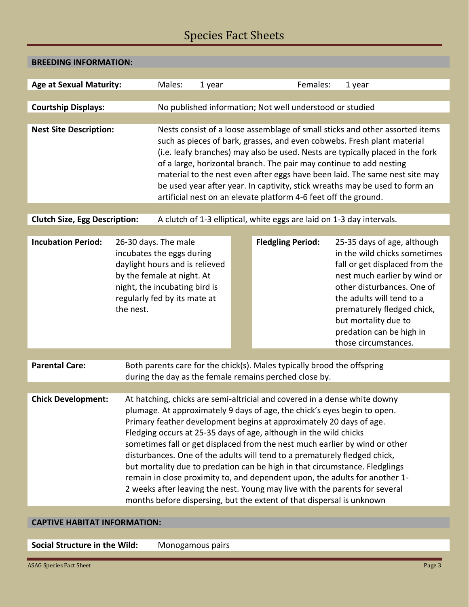## Species Fact Sheets

| <b>BREEDING INFORMATION:</b>         |                                                                                                                                                                                                 |                                                                                                                                                                                                                                                                                                                                                                                                                                                                                                                                                                                                                                                                                                                                                                                     |                                                          |  |                          |        |                                                                                                                                                                                                                                                                                                    |  |  |
|--------------------------------------|-------------------------------------------------------------------------------------------------------------------------------------------------------------------------------------------------|-------------------------------------------------------------------------------------------------------------------------------------------------------------------------------------------------------------------------------------------------------------------------------------------------------------------------------------------------------------------------------------------------------------------------------------------------------------------------------------------------------------------------------------------------------------------------------------------------------------------------------------------------------------------------------------------------------------------------------------------------------------------------------------|----------------------------------------------------------|--|--------------------------|--------|----------------------------------------------------------------------------------------------------------------------------------------------------------------------------------------------------------------------------------------------------------------------------------------------------|--|--|
|                                      |                                                                                                                                                                                                 |                                                                                                                                                                                                                                                                                                                                                                                                                                                                                                                                                                                                                                                                                                                                                                                     |                                                          |  |                          |        |                                                                                                                                                                                                                                                                                                    |  |  |
| <b>Age at Sexual Maturity:</b>       |                                                                                                                                                                                                 | Males:<br>1 year                                                                                                                                                                                                                                                                                                                                                                                                                                                                                                                                                                                                                                                                                                                                                                    |                                                          |  | Females:                 | 1 year |                                                                                                                                                                                                                                                                                                    |  |  |
|                                      |                                                                                                                                                                                                 |                                                                                                                                                                                                                                                                                                                                                                                                                                                                                                                                                                                                                                                                                                                                                                                     |                                                          |  |                          |        |                                                                                                                                                                                                                                                                                                    |  |  |
| <b>Courtship Displays:</b>           |                                                                                                                                                                                                 |                                                                                                                                                                                                                                                                                                                                                                                                                                                                                                                                                                                                                                                                                                                                                                                     | No published information; Not well understood or studied |  |                          |        |                                                                                                                                                                                                                                                                                                    |  |  |
| <b>Nest Site Description:</b>        |                                                                                                                                                                                                 | Nests consist of a loose assemblage of small sticks and other assorted items<br>such as pieces of bark, grasses, and even cobwebs. Fresh plant material<br>(i.e. leafy branches) may also be used. Nests are typically placed in the fork<br>of a large, horizontal branch. The pair may continue to add nesting<br>material to the nest even after eggs have been laid. The same nest site may<br>be used year after year. In captivity, stick wreaths may be used to form an<br>artificial nest on an elevate platform 4-6 feet off the ground.                                                                                                                                                                                                                                   |                                                          |  |                          |        |                                                                                                                                                                                                                                                                                                    |  |  |
|                                      |                                                                                                                                                                                                 |                                                                                                                                                                                                                                                                                                                                                                                                                                                                                                                                                                                                                                                                                                                                                                                     |                                                          |  |                          |        |                                                                                                                                                                                                                                                                                                    |  |  |
| <b>Clutch Size, Egg Description:</b> |                                                                                                                                                                                                 | A clutch of 1-3 elliptical, white eggs are laid on 1-3 day intervals.                                                                                                                                                                                                                                                                                                                                                                                                                                                                                                                                                                                                                                                                                                               |                                                          |  |                          |        |                                                                                                                                                                                                                                                                                                    |  |  |
| <b>Incubation Period:</b>            | 26-30 days. The male<br>incubates the eggs during<br>daylight hours and is relieved<br>by the female at night. At<br>night, the incubating bird is<br>regularly fed by its mate at<br>the nest. |                                                                                                                                                                                                                                                                                                                                                                                                                                                                                                                                                                                                                                                                                                                                                                                     |                                                          |  | <b>Fledgling Period:</b> |        | 25-35 days of age, although<br>in the wild chicks sometimes<br>fall or get displaced from the<br>nest much earlier by wind or<br>other disturbances. One of<br>the adults will tend to a<br>prematurely fledged chick,<br>but mortality due to<br>predation can be high in<br>those circumstances. |  |  |
| <b>Parental Care:</b>                | Both parents care for the chick(s). Males typically brood the offspring                                                                                                                         |                                                                                                                                                                                                                                                                                                                                                                                                                                                                                                                                                                                                                                                                                                                                                                                     |                                                          |  |                          |        |                                                                                                                                                                                                                                                                                                    |  |  |
|                                      | during the day as the female remains perched close by.                                                                                                                                          |                                                                                                                                                                                                                                                                                                                                                                                                                                                                                                                                                                                                                                                                                                                                                                                     |                                                          |  |                          |        |                                                                                                                                                                                                                                                                                                    |  |  |
| <b>Chick Development:</b>            |                                                                                                                                                                                                 | At hatching, chicks are semi-altricial and covered in a dense white downy<br>plumage. At approximately 9 days of age, the chick's eyes begin to open.<br>Primary feather development begins at approximately 20 days of age.<br>Fledging occurs at 25-35 days of age, although in the wild chicks<br>sometimes fall or get displaced from the nest much earlier by wind or other<br>disturbances. One of the adults will tend to a prematurely fledged chick,<br>but mortality due to predation can be high in that circumstance. Fledglings<br>remain in close proximity to, and dependent upon, the adults for another 1-<br>2 weeks after leaving the nest. Young may live with the parents for several<br>months before dispersing, but the extent of that dispersal is unknown |                                                          |  |                          |        |                                                                                                                                                                                                                                                                                                    |  |  |
| <b>CAPTIVE HABITAT INFORMATION:</b>  |                                                                                                                                                                                                 |                                                                                                                                                                                                                                                                                                                                                                                                                                                                                                                                                                                                                                                                                                                                                                                     |                                                          |  |                          |        |                                                                                                                                                                                                                                                                                                    |  |  |

**Social Structure in the Wild:** Monogamous pairs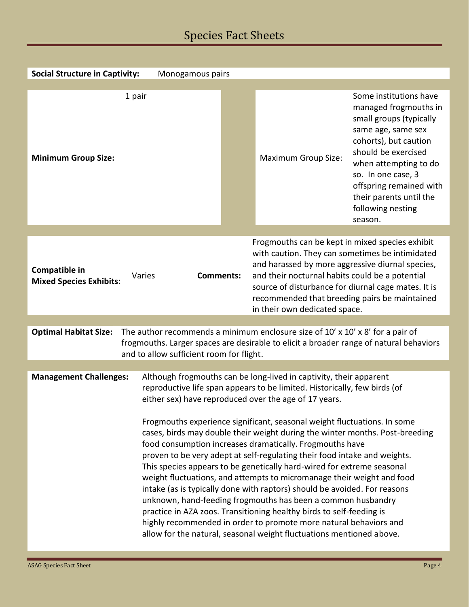## Species Fact Sheets

| <b>Social Structure in Captivity:</b><br>Monogamous pairs                                                                                                                                                                                                                                                                                                                                                                                                                                                                                                                                                                                                                                                                                                                                                                                                                                                                                                                                                                                                            |  |                                                                                                                                                                                                                                                                                                                                                    |                                                                                                                                                                                                                                                                                       |  |  |  |  |
|----------------------------------------------------------------------------------------------------------------------------------------------------------------------------------------------------------------------------------------------------------------------------------------------------------------------------------------------------------------------------------------------------------------------------------------------------------------------------------------------------------------------------------------------------------------------------------------------------------------------------------------------------------------------------------------------------------------------------------------------------------------------------------------------------------------------------------------------------------------------------------------------------------------------------------------------------------------------------------------------------------------------------------------------------------------------|--|----------------------------------------------------------------------------------------------------------------------------------------------------------------------------------------------------------------------------------------------------------------------------------------------------------------------------------------------------|---------------------------------------------------------------------------------------------------------------------------------------------------------------------------------------------------------------------------------------------------------------------------------------|--|--|--|--|
|                                                                                                                                                                                                                                                                                                                                                                                                                                                                                                                                                                                                                                                                                                                                                                                                                                                                                                                                                                                                                                                                      |  |                                                                                                                                                                                                                                                                                                                                                    |                                                                                                                                                                                                                                                                                       |  |  |  |  |
| 1 pair<br><b>Minimum Group Size:</b>                                                                                                                                                                                                                                                                                                                                                                                                                                                                                                                                                                                                                                                                                                                                                                                                                                                                                                                                                                                                                                 |  | <b>Maximum Group Size:</b>                                                                                                                                                                                                                                                                                                                         | Some institutions have<br>managed frogmouths in<br>small groups (typically<br>same age, same sex<br>cohorts), but caution<br>should be exercised<br>when attempting to do<br>so. In one case, 3<br>offspring remained with<br>their parents until the<br>following nesting<br>season. |  |  |  |  |
|                                                                                                                                                                                                                                                                                                                                                                                                                                                                                                                                                                                                                                                                                                                                                                                                                                                                                                                                                                                                                                                                      |  |                                                                                                                                                                                                                                                                                                                                                    |                                                                                                                                                                                                                                                                                       |  |  |  |  |
| Compatible in<br>Varies<br><b>Comments:</b><br><b>Mixed Species Exhibits:</b>                                                                                                                                                                                                                                                                                                                                                                                                                                                                                                                                                                                                                                                                                                                                                                                                                                                                                                                                                                                        |  | Frogmouths can be kept in mixed species exhibit<br>with caution. They can sometimes be intimidated<br>and harassed by more aggressive diurnal species,<br>and their nocturnal habits could be a potential<br>source of disturbance for diurnal cage mates. It is<br>recommended that breeding pairs be maintained<br>in their own dedicated space. |                                                                                                                                                                                                                                                                                       |  |  |  |  |
|                                                                                                                                                                                                                                                                                                                                                                                                                                                                                                                                                                                                                                                                                                                                                                                                                                                                                                                                                                                                                                                                      |  |                                                                                                                                                                                                                                                                                                                                                    |                                                                                                                                                                                                                                                                                       |  |  |  |  |
| The author recommends a minimum enclosure size of 10' x 10' x 8' for a pair of<br><b>Optimal Habitat Size:</b><br>frogmouths. Larger spaces are desirable to elicit a broader range of natural behaviors<br>and to allow sufficient room for flight.                                                                                                                                                                                                                                                                                                                                                                                                                                                                                                                                                                                                                                                                                                                                                                                                                 |  |                                                                                                                                                                                                                                                                                                                                                    |                                                                                                                                                                                                                                                                                       |  |  |  |  |
|                                                                                                                                                                                                                                                                                                                                                                                                                                                                                                                                                                                                                                                                                                                                                                                                                                                                                                                                                                                                                                                                      |  |                                                                                                                                                                                                                                                                                                                                                    |                                                                                                                                                                                                                                                                                       |  |  |  |  |
| Although frogmouths can be long-lived in captivity, their apparent<br><b>Management Challenges:</b><br>reproductive life span appears to be limited. Historically, few birds (of<br>either sex) have reproduced over the age of 17 years.<br>Frogmouths experience significant, seasonal weight fluctuations. In some<br>cases, birds may double their weight during the winter months. Post-breeding<br>food consumption increases dramatically. Frogmouths have<br>proven to be very adept at self-regulating their food intake and weights.<br>This species appears to be genetically hard-wired for extreme seasonal<br>weight fluctuations, and attempts to micromanage their weight and food<br>intake (as is typically done with raptors) should be avoided. For reasons<br>unknown, hand-feeding frogmouths has been a common husbandry<br>practice in AZA zoos. Transitioning healthy birds to self-feeding is<br>highly recommended in order to promote more natural behaviors and<br>allow for the natural, seasonal weight fluctuations mentioned above. |  |                                                                                                                                                                                                                                                                                                                                                    |                                                                                                                                                                                                                                                                                       |  |  |  |  |